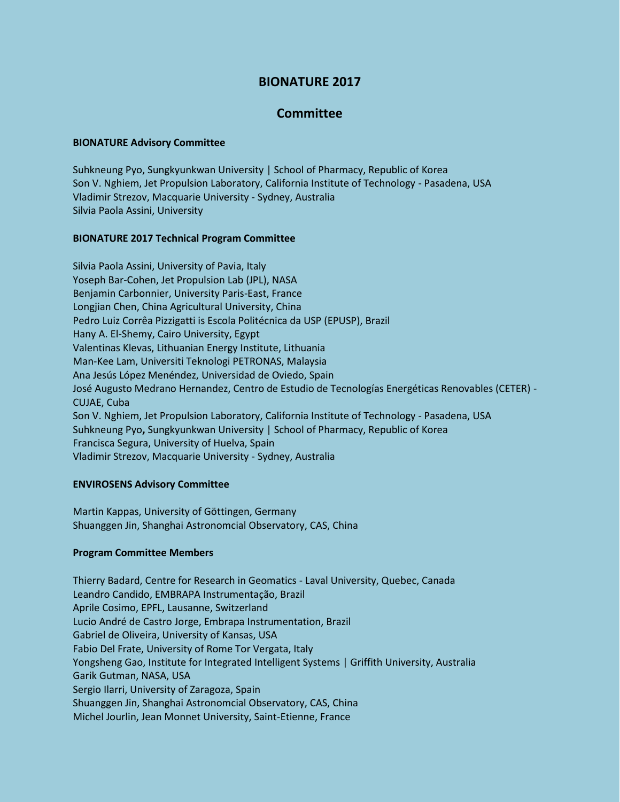# **BIONATURE 2017**

## **Committee**

## **BIONATURE Advisory Committee**

Suhkneung Pyo, Sungkyunkwan University | School of Pharmacy, Republic of Korea Son V. Nghiem, Jet Propulsion Laboratory, California Institute of Technology - Pasadena, USA Vladimir Strezov, Macquarie University - Sydney, Australia Silvia Paola Assini, University

#### **BIONATURE 2017 Technical Program Committee**

Silvia Paola Assini, University of Pavia, Italy Yoseph Bar-Cohen, Jet Propulsion Lab (JPL), NASA Benjamin Carbonnier, University Paris-East, France Longjian Chen, China Agricultural University, China Pedro Luiz Corrêa Pizzigatti is Escola Politécnica da USP (EPUSP), Brazil Hany A. El-Shemy, Cairo University, Egypt Valentinas Klevas, Lithuanian Energy Institute, Lithuania Man-Kee Lam, Universiti Teknologi PETRONAS, Malaysia Ana Jesús López Menéndez, Universidad de Oviedo, Spain José Augusto Medrano Hernandez, Centro de Estudio de Tecnologías Energéticas Renovables (CETER) - CUJAE, Cuba Son V. Nghiem, Jet Propulsion Laboratory, California Institute of Technology - Pasadena, USA Suhkneung Pyo**,** Sungkyunkwan University | School of Pharmacy, Republic of Korea Francisca Segura, University of Huelva, Spain Vladimir Strezov, Macquarie University - Sydney, Australia

## **ENVIROSENS Advisory Committee**

Martin Kappas, University of Göttingen, Germany Shuanggen Jin, Shanghai Astronomcial Observatory, CAS, China

#### **Program Committee Members**

Thierry Badard, Centre for Research in Geomatics - Laval University, Quebec, Canada Leandro Candido, EMBRAPA Instrumentação, Brazil Aprile Cosimo, EPFL, Lausanne, Switzerland Lucio André de Castro Jorge, Embrapa Instrumentation, Brazil Gabriel de Oliveira, University of Kansas, USA Fabio Del Frate, University of Rome Tor Vergata, Italy Yongsheng Gao, Institute for Integrated Intelligent Systems | Griffith University, Australia Garik Gutman, NASA, USA Sergio Ilarri, University of Zaragoza, Spain Shuanggen Jin, Shanghai Astronomcial Observatory, CAS, China Michel Jourlin, Jean Monnet University, Saint-Etienne, France